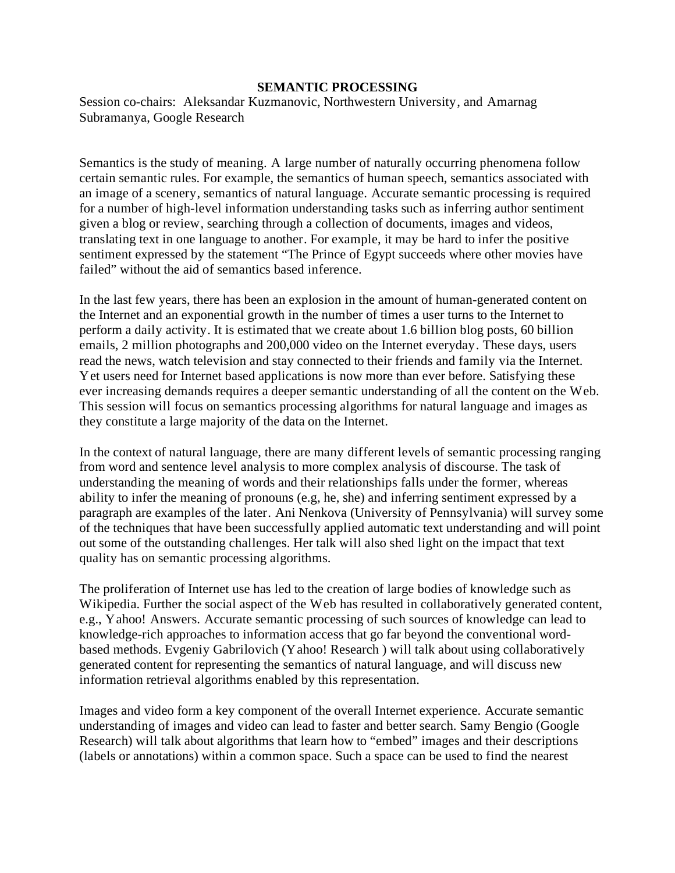## **SEMANTIC PROCESSING**

Session co-chairs: Aleksandar Kuzmanovic, Northwestern University, and Amarnag Subramanya, Google Research

Semantics is the study of meaning. A large number of naturally occurring phenomena follow certain semantic rules. For example, the semantics of human speech, semantics associated with an image of a scenery, semantics of natural language. Accurate semantic processing is required for a number of high-level information understanding tasks such as inferring author sentiment given a blog or review, searching through a collection of documents, images and videos, translating text in one language to another. For example, it may be hard to infer the positive sentiment expressed by the statement "The Prince of Egypt succeeds where other movies have failed" without the aid of semantics based inference.

In the last few years, there has been an explosion in the amount of human-generated content on the Internet and an exponential growth in the number of times a user turns to the Internet to perform a daily activity. It is estimated that we create about 1.6 billion blog posts, 60 billion emails, 2 million photographs and 200,000 video on the Internet everyday. These days, users read the news, watch television and stay connected to their friends and family via the Internet. Yet users need for Internet based applications is now more than ever before. Satisfying these ever increasing demands requires a deeper semantic understanding of all the content on the Web. This session will focus on semantics processing algorithms for natural language and images as they constitute a large majority of the data on the Internet.

In the context of natural language, there are many different levels of semantic processing ranging from word and sentence level analysis to more complex analysis of discourse. The task of understanding the meaning of words and their relationships falls under the former, whereas ability to infer the meaning of pronouns (e.g, he, she) and inferring sentiment expressed by a paragraph are examples of the later. Ani Nenkova (University of Pennsylvania) will survey some of the techniques that have been successfully applied automatic text understanding and will point out some of the outstanding challenges. Her talk will also shed light on the impact that text quality has on semantic processing algorithms.

The proliferation of Internet use has led to the creation of large bodies of knowledge such as Wikipedia. Further the social aspect of the Web has resulted in collaboratively generated content, e.g., Yahoo! Answers. Accurate semantic processing of such sources of knowledge can lead to knowledge-rich approaches to information access that go far beyond the conventional wordbased methods. Evgeniy Gabrilovich (Yahoo! Research ) will talk about using collaboratively generated content for representing the semantics of natural language, and will discuss new information retrieval algorithms enabled by this representation.

Images and video form a key component of the overall Internet experience. Accurate semantic understanding of images and video can lead to faster and better search. Samy Bengio (Google Research) will talk about algorithms that learn how to "embed" images and their descriptions (labels or annotations) within a common space. Such a space can be used to find the nearest